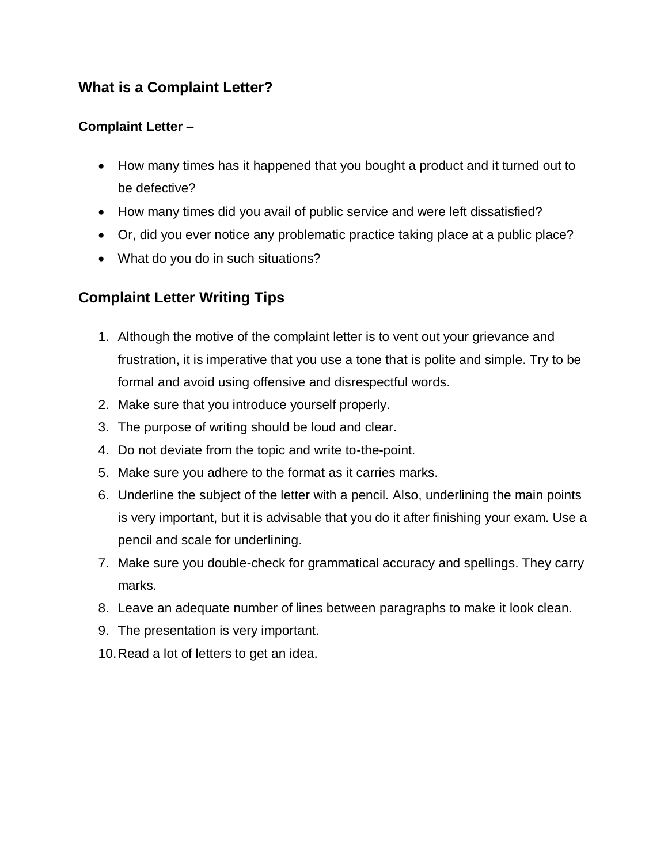## **What is a Complaint Letter?**

### **Complaint Letter –**

- How many times has it happened that you bought a product and it turned out to be defective?
- How many times did you avail of public service and were left dissatisfied?
- Or, did you ever notice any problematic practice taking place at a public place?
- What do you do in such situations?

# **Complaint Letter Writing Tips**

- 1. Although the motive of the complaint letter is to vent out your grievance and frustration, it is imperative that you use a tone that is polite and simple. Try to be formal and avoid using offensive and disrespectful words.
- 2. Make sure that you introduce yourself properly.
- 3. The purpose of writing should be loud and clear.
- 4. Do not deviate from the topic and write to-the-point.
- 5. Make sure you adhere to the format as it carries marks.
- 6. Underline the subject of the letter with a pencil. Also, underlining the main points is very important, but it is advisable that you do it after finishing your exam. Use a pencil and scale for underlining.
- 7. Make sure you double-check for grammatical accuracy and spellings. They carry marks.
- 8. Leave an adequate number of lines between paragraphs to make it look clean.
- 9. The presentation is very important.
- 10.Read a lot of letters to get an idea.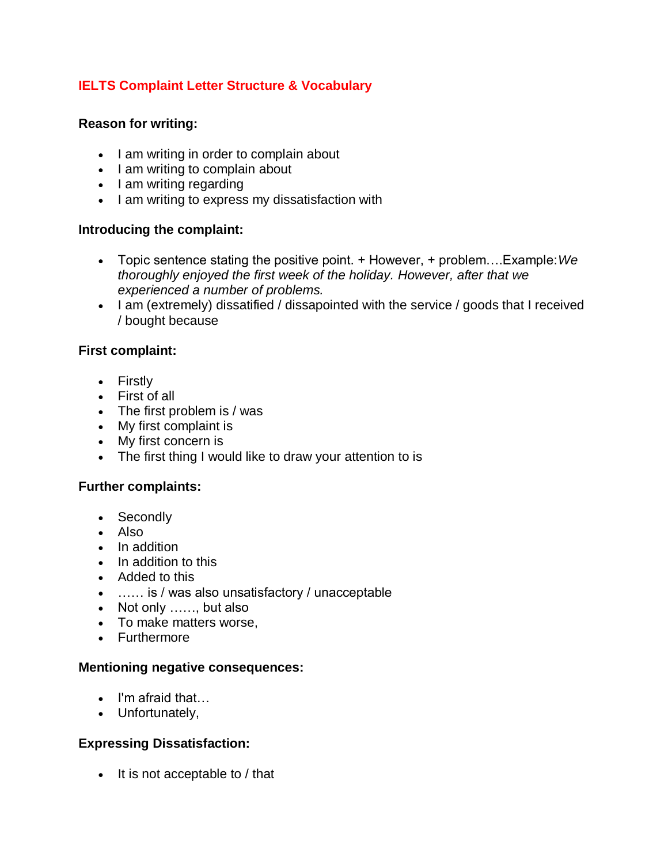### **IELTS Complaint Letter Structure & Vocabulary**

#### **Reason for writing:**

- I am writing in order to complain about
- I am writing to complain about
- I am writing regarding
- I am writing to express my dissatisfaction with

#### **Introducing the complaint:**

- Topic sentence stating the positive point. + However, + problem….Example:*We thoroughly enjoyed the first week of the holiday. However, after that we experienced a number of problems.*
- I am (extremely) dissatified / dissapointed with the service / goods that I received / bought because

#### **First complaint:**

- Firstly
- First of all
- The first problem is / was
- My first complaint is
- My first concern is
- The first thing I would like to draw your attention to is

#### **Further complaints:**

- Secondly
- Also
- In addition
- In addition to this
- Added to this
- …… is / was also unsatisfactory / unacceptable
- Not only ……, but also
- To make matters worse.
- Furthermore

#### **Mentioning negative consequences:**

- I'm afraid that...
- Unfortunately,

### **Expressing Dissatisfaction:**

 $\bullet$  It is not acceptable to / that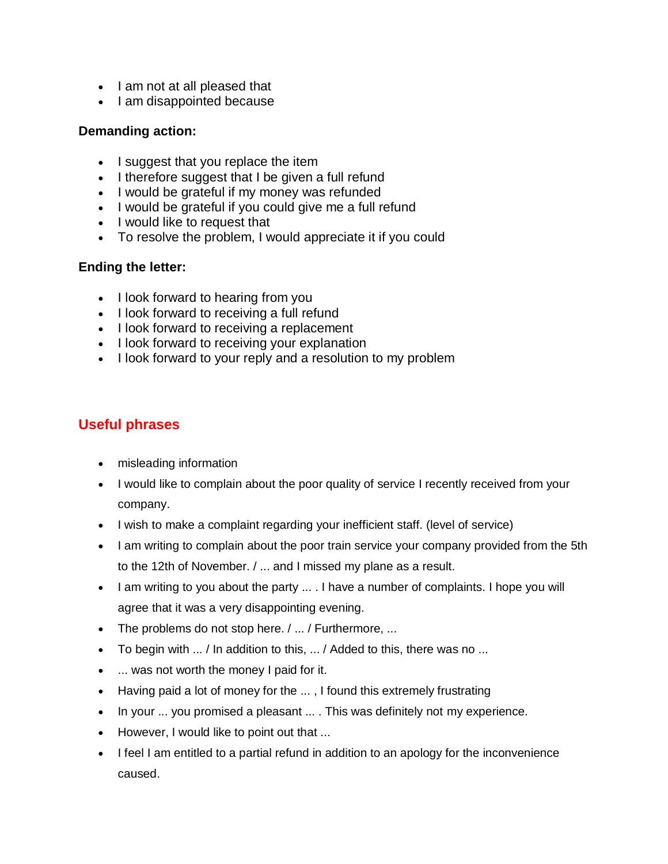- I am not at all pleased that
- I am disappointed because

#### **Demanding action:**

- I suggest that you replace the item
- I therefore suggest that I be given a full refund
- I would be grateful if my money was refunded
- I would be grateful if you could give me a full refund
- I would like to request that
- To resolve the problem, I would appreciate it if you could

#### **Ending the letter:**

- I look forward to hearing from you
- I look forward to receiving a full refund
- I look forward to receiving a replacement
- I look forward to receiving your explanation
- I look forward to your reply and a resolution to my problem

## **Useful phrases**

- misleading information
- I would like to complain about the poor quality of service I recently received from your company.
- I wish to make a complaint regarding your inefficient staff. (level of service)
- I am writing to complain about the poor train service your company provided from the 5th to the 12th of November. / ... and I missed my plane as a result.
- I am writing to you about the party ... . I have a number of complaints. I hope you will agree that it was a very disappointing evening.
- The problems do not stop here. / ... / Furthermore, ...
- To begin with ... / In addition to this, ... / Added to this, there was no ...
- ... was not worth the money I paid for it.
- Having paid a lot of money for the ... , I found this extremely frustrating
- In your ... you promised a pleasant ... . This was definitely not my experience.
- However, I would like to point out that ...
- I feel I am entitled to a partial refund in addition to an apology for the inconvenience caused.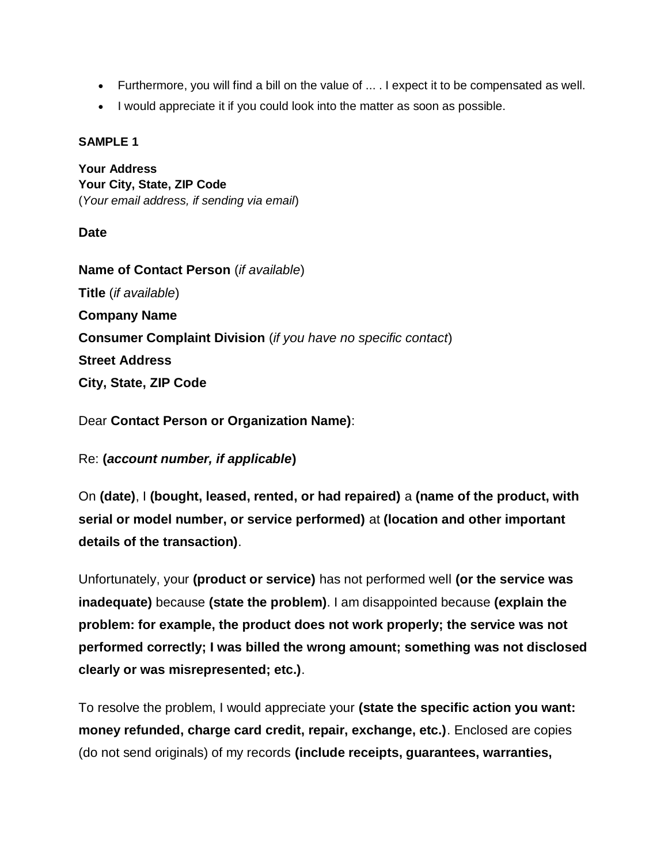- Furthermore, you will find a bill on the value of ... . I expect it to be compensated as well.
- I would appreciate it if you could look into the matter as soon as possible.

#### **SAMPLE 1**

**Your Address Your City, State, ZIP Code** (*Your email address, if sending via email*)

#### **Date**

**Name of Contact Person** (*if available*) **Title** (*if available*) **Company Name Consumer Complaint Division** (*if you have no specific contact*) **Street Address City, State, ZIP Code**

Dear **Contact Person or Organization Name)**:

Re: **(***account number, if applicable***)**

On **(date)**, I **(bought, leased, rented, or had repaired)** a **(name of the product, with serial or model number, or service performed)** at **(location and other important details of the transaction)**.

Unfortunately, your **(product or service)** has not performed well **(or the service was inadequate)** because **(state the problem)**. I am disappointed because **(explain the problem: for example, the product does not work properly; the service was not performed correctly; I was billed the wrong amount; something was not disclosed clearly or was misrepresented; etc.)**.

To resolve the problem, I would appreciate your **(state the specific action you want: money refunded, charge card credit, repair, exchange, etc.)**. Enclosed are copies (do not send originals) of my records **(include receipts, guarantees, warranties,**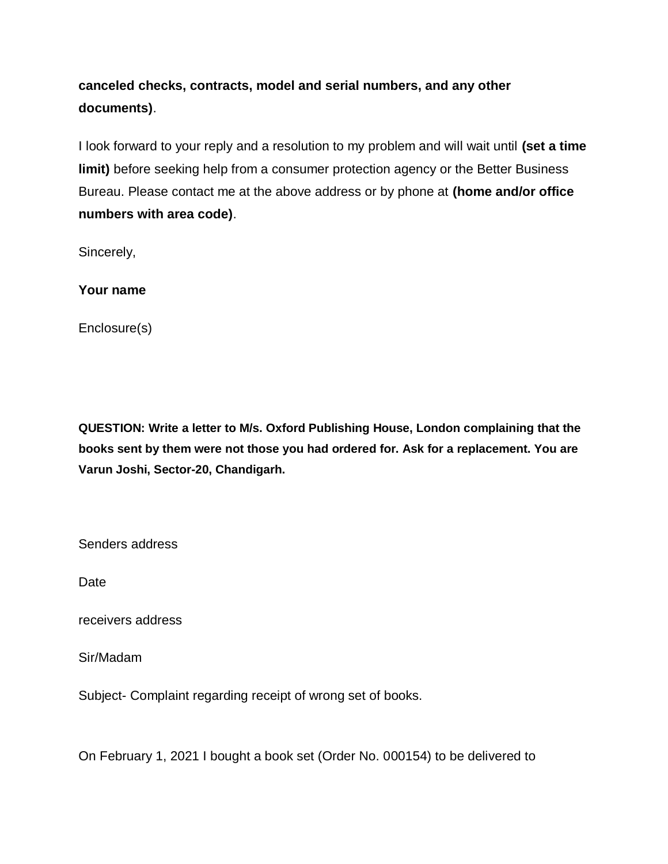**canceled checks, contracts, model and serial numbers, and any other documents)**.

I look forward to your reply and a resolution to my problem and will wait until **(set a time limit)** before seeking help from a consumer protection agency or the Better Business Bureau. Please contact me at the above address or by phone at **(home and/or office numbers with area code)**.

Sincerely,

**Your name**

Enclosure(s)

**QUESTION: Write a letter to M/s. Oxford Publishing House, London complaining that the books sent by them were not those you had ordered for. Ask for a replacement. You are Varun Joshi, Sector-20, Chandigarh.**

Senders address

Date

receivers address

Sir/Madam

Subject- Complaint regarding receipt of wrong set of books.

On February 1, 2021 I bought a book set (Order No. 000154) to be delivered to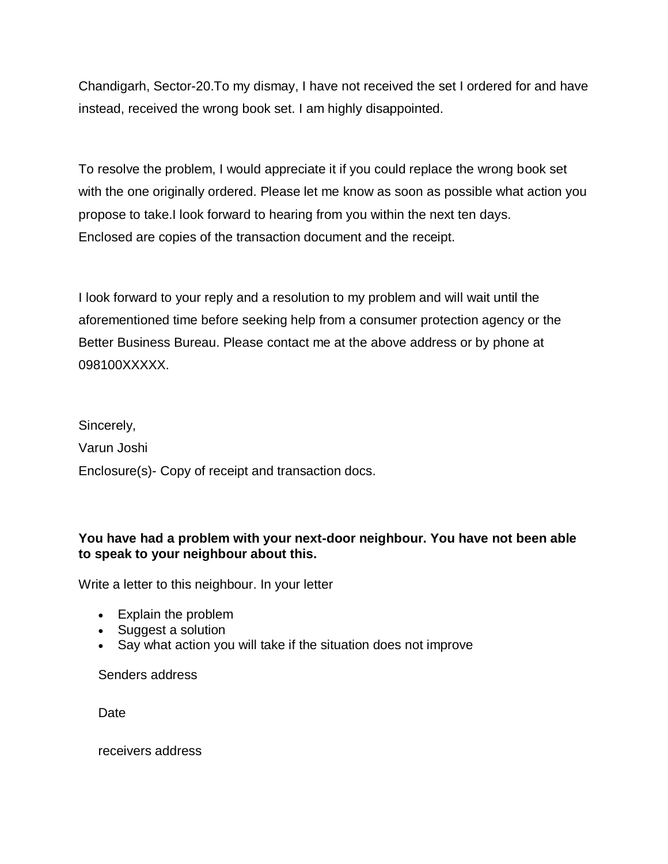Chandigarh, Sector-20.To my dismay, I have not received the set I ordered for and have instead, received the wrong book set. I am highly disappointed.

To resolve the problem, I would appreciate it if you could replace the wrong book set with the one originally ordered. Please let me know as soon as possible what action you propose to take.I look forward to hearing from you within the next ten days. Enclosed are copies of the transaction document and the receipt.

I look forward to your reply and a resolution to my problem and will wait until the aforementioned time before seeking help from a consumer protection agency or the Better Business Bureau. Please contact me at the above address or by phone at 098100XXXXX.

Sincerely,

Varun Joshi

Enclosure(s)- Copy of receipt and transaction docs.

#### **You have had a problem with your next-door neighbour. You have not been able to speak to your neighbour about this.**

Write a letter to this neighbour. In your letter

- Explain the problem
- Suggest a solution
- Say what action you will take if the situation does not improve

Senders address

Date

receivers address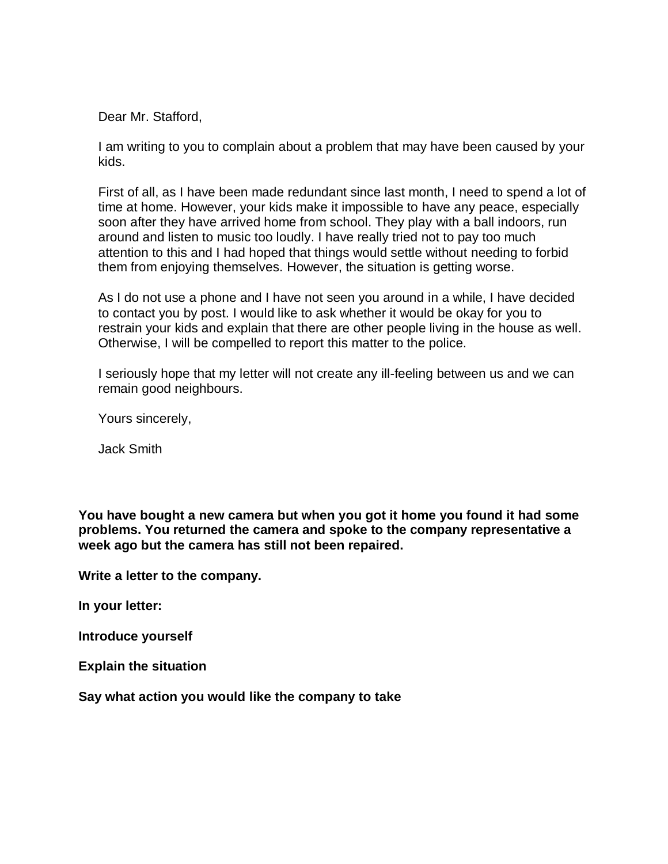Dear Mr. Stafford,

I am writing to you to complain about a problem that may have been caused by your kids.

First of all, as I have been made redundant since last month, I need to spend a lot of time at home. However, your kids make it impossible to have any peace, especially soon after they have arrived home from school. They play with a ball indoors, run around and listen to music too loudly. I have really tried not to pay too much attention to this and I had hoped that things would settle without needing to forbid them from enjoying themselves. However, the situation is getting worse.

As I do not use a phone and I have not seen you around in a while, I have decided to contact you by post. I would like to ask whether it would be okay for you to restrain your kids and explain that there are other people living in the house as well. Otherwise, I will be compelled to report this matter to the police.

I seriously hope that my letter will not create any ill-feeling between us and we can remain good neighbours.

Yours sincerely,

Jack Smith

**You have bought a new camera but when you got it home you found it had some problems. You returned the camera and spoke to the company representative a week ago but the camera has still not been repaired.**

**Write a letter to the company.**

**In your letter:**

**Introduce yourself**

**Explain the situation**

**Say what action you would like the company to take**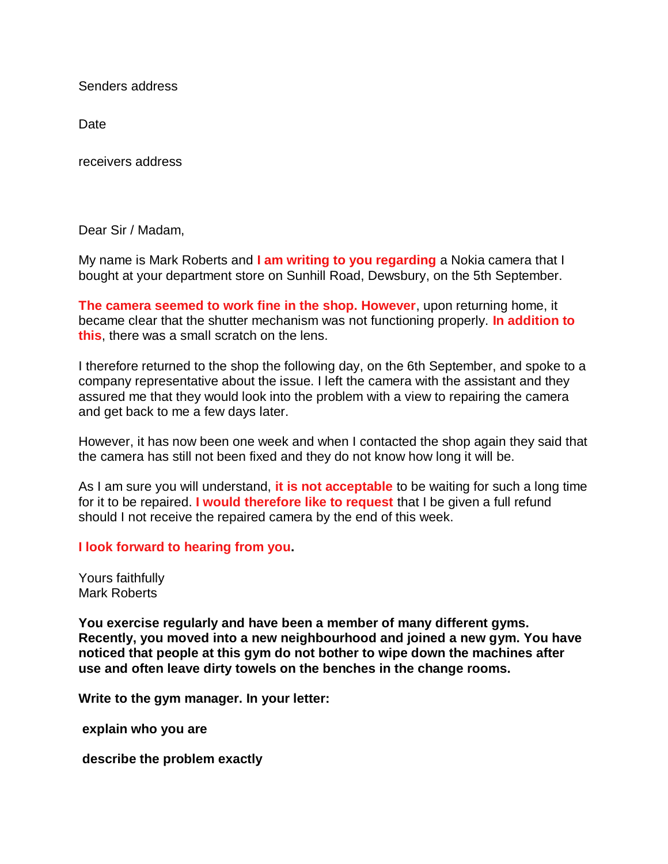Senders address

Date

receivers address

Dear Sir / Madam,

My name is Mark Roberts and **I am writing to you regarding** a Nokia camera that I bought at your department store on Sunhill Road, Dewsbury, on the 5th September.

**The camera seemed to work fine in the shop. However**, upon returning home, it became clear that the shutter mechanism was not functioning properly. **In addition to this**, there was a small scratch on the lens.

I therefore returned to the shop the following day, on the 6th September, and spoke to a company representative about the issue. I left the camera with the assistant and they assured me that they would look into the problem with a view to repairing the camera and get back to me a few days later.

However, it has now been one week and when I contacted the shop again they said that the camera has still not been fixed and they do not know how long it will be.

As I am sure you will understand, **it is not acceptable** to be waiting for such a long time for it to be repaired. **I would therefore like to request** that I be given a full refund should I not receive the repaired camera by the end of this week.

**I look forward to hearing from you.**

Yours faithfully Mark Roberts

**You exercise regularly and have been a member of many different gyms. Recently, you moved into a new neighbourhood and joined a new gym. You have noticed that people at this gym do not bother to wipe down the machines after use and often leave dirty towels on the benches in the change rooms.**

**Write to the gym manager. In your letter:**

**explain who you are**

**describe the problem exactly**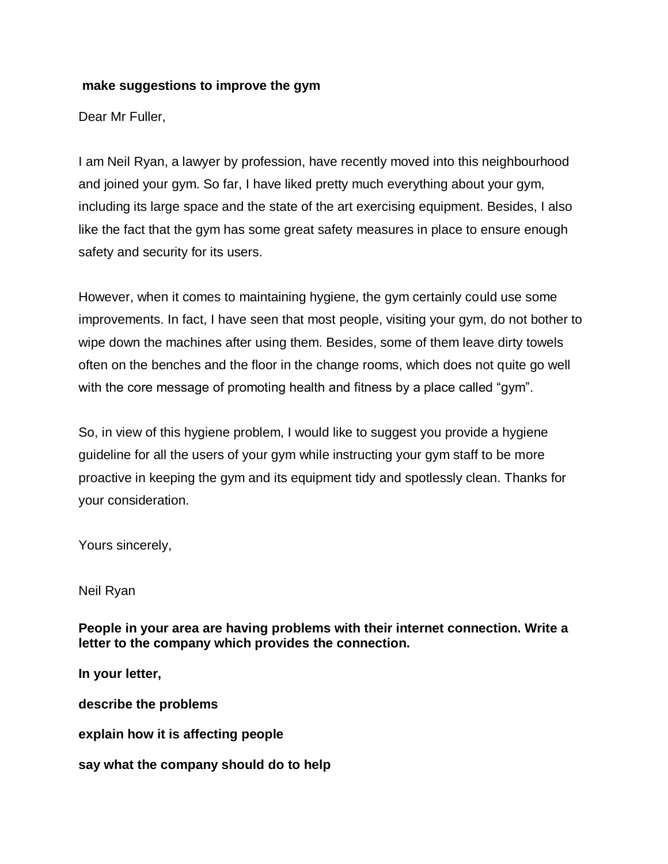#### **make suggestions to improve the gym**

Dear Mr Fuller,

I am Neil Ryan, a lawyer by profession, have recently moved into this neighbourhood and joined your gym. So far, I have liked pretty much everything about your gym, including its large space and the state of the art exercising equipment. Besides, I also like the fact that the gym has some great safety measures in place to ensure enough safety and security for its users.

However, when it comes to maintaining hygiene, the gym certainly could use some improvements. In fact, I have seen that most people, visiting your gym, do not bother to wipe down the machines after using them. Besides, some of them leave dirty towels often on the benches and the floor in the change rooms, which does not quite go well with the core message of promoting health and fitness by a place called "gym".

So, in view of this hygiene problem, I would like to suggest you provide a hygiene guideline for all the users of your gym while instructing your gym staff to be more proactive in keeping the gym and its equipment tidy and spotlessly clean. Thanks for your consideration.

Yours sincerely,

Neil Ryan

**People in your area are having problems with their internet connection. Write a letter to the company which provides the connection.**

**In your letter,**

**describe the problems**

**explain how it is affecting people**

**say what the company should do to help**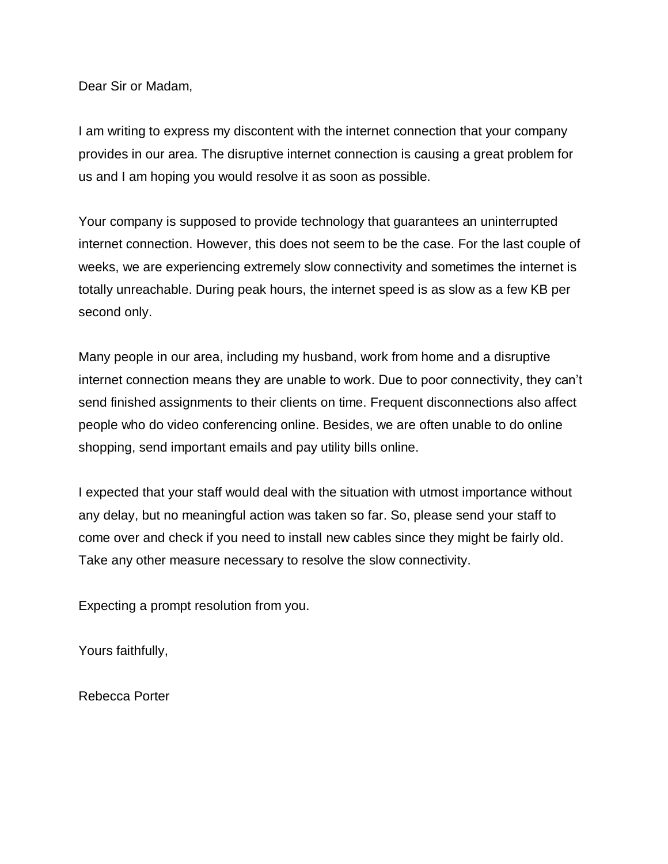Dear Sir or Madam,

I am writing to express my discontent with the internet connection that your company provides in our area. The disruptive internet connection is causing a great problem for us and I am hoping you would resolve it as soon as possible.

Your company is supposed to provide technology that guarantees an uninterrupted internet connection. However, this does not seem to be the case. For the last couple of weeks, we are experiencing extremely slow connectivity and sometimes the internet is totally unreachable. During peak hours, the internet speed is as slow as a few KB per second only.

Many people in our area, including my husband, work from home and a disruptive internet connection means they are unable to work. Due to poor connectivity, they can't send finished assignments to their clients on time. Frequent disconnections also affect people who do video conferencing online. Besides, we are often unable to do online shopping, send important emails and pay utility bills online.

I expected that your staff would deal with the situation with utmost importance without any delay, but no meaningful action was taken so far. So, please send your staff to come over and check if you need to install new cables since they might be fairly old. Take any other measure necessary to resolve the slow connectivity.

Expecting a prompt resolution from you.

Yours faithfully,

Rebecca Porter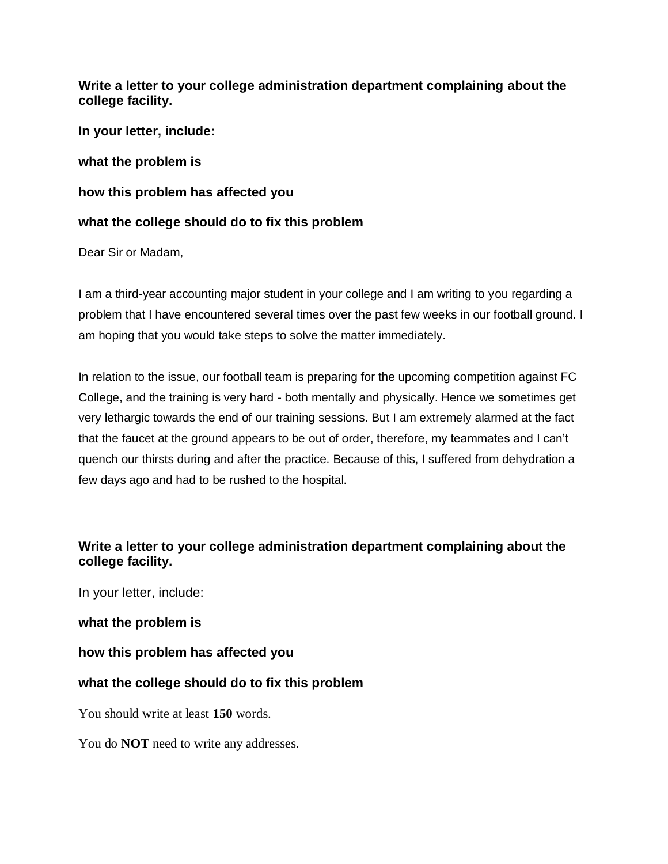**Write a letter to your college administration department complaining about the college facility.**

**In your letter, include:**

**what the problem is**

**how this problem has affected you**

#### **what the college should do to fix this problem**

Dear Sir or Madam,

I am a third-year accounting major student in your college and I am writing to you regarding a problem that I have encountered several times over the past few weeks in our football ground. I am hoping that you would take steps to solve the matter immediately.

In relation to the issue, our football team is preparing for the upcoming competition against FC College, and the training is very hard - both mentally and physically. Hence we sometimes get very lethargic towards the end of our training sessions. But I am extremely alarmed at the fact that the faucet at the ground appears to be out of order, therefore, my teammates and I can't quench our thirsts during and after the practice. Because of this, I suffered from dehydration a few days ago and had to be rushed to the hospital.

### **Write a letter to your college administration department complaining about the college facility.**

In your letter, include:

#### **what the problem is**

**how this problem has affected you**

### **what the college should do to fix this problem**

You should write at least **150** words.

You do **NOT** need to write any addresses.